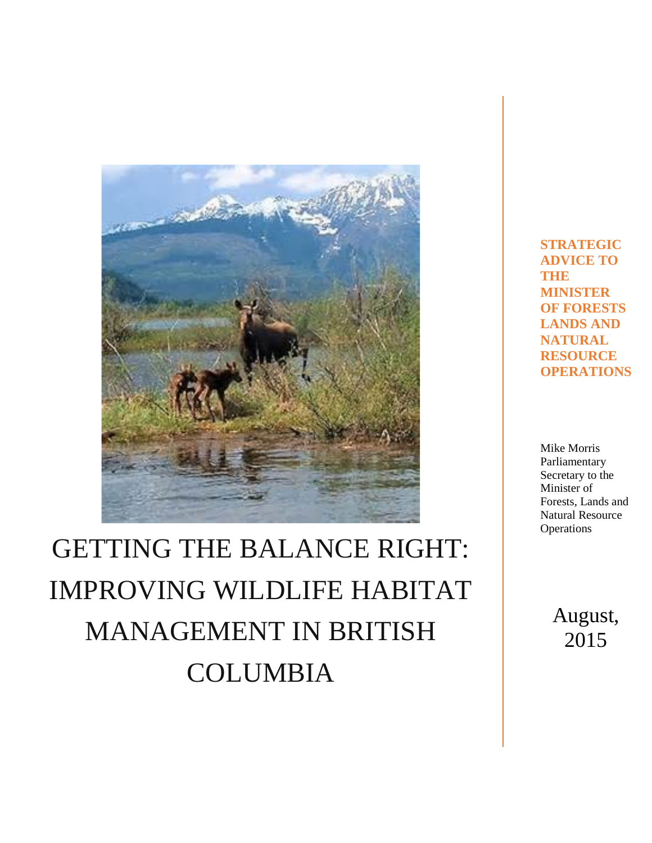

# GETTING THE BALANCE RIGHT: IMPROVING WILDLIFE HABITAT MANAGEMENT IN BRITISH COLUMBIA

**STRATEGIC ADVICE TO THE MINISTER OF FORESTS LANDS AND NATURAL RESOURCE OPERATIONS**

Mike Morris Parliamentary Secretary to the Minister of Forests, Lands and Natural Resource **Operations** 

> August, 2015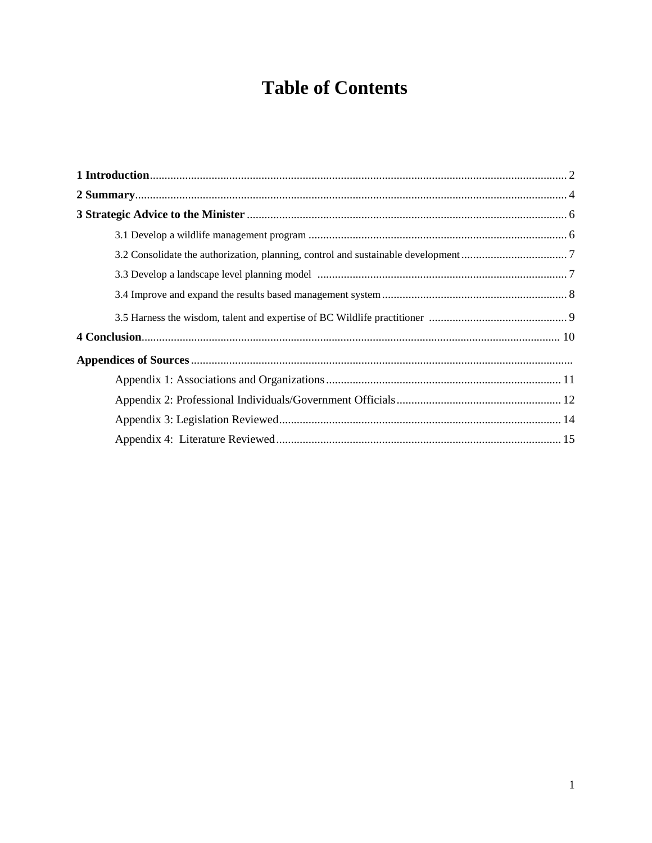## **Table of Contents**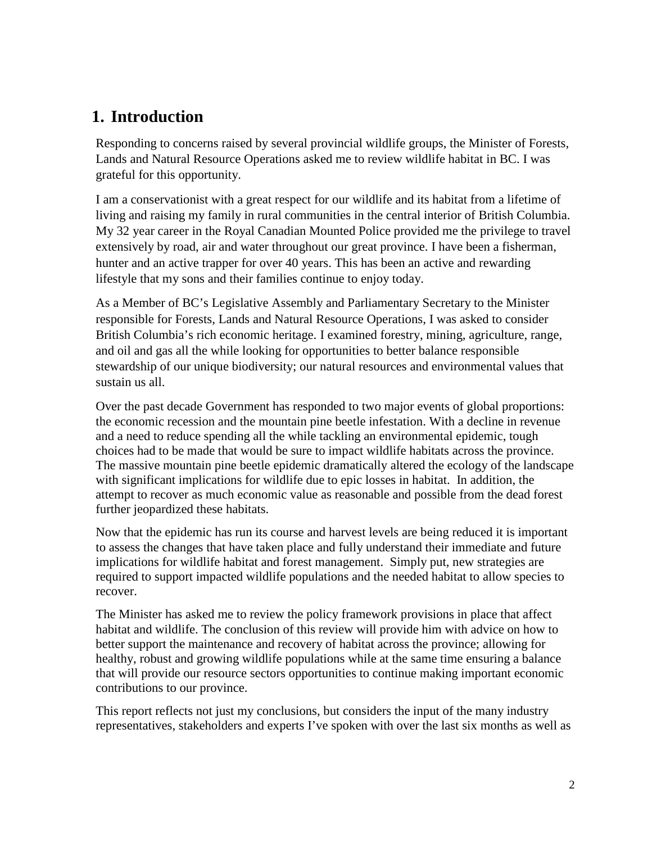## **1. Introduction**

Responding to concerns raised by several provincial wildlife groups, the Minister of Forests, Lands and Natural Resource Operations asked me to review wildlife habitat in BC. I was grateful for this opportunity.

I am a conservationist with a great respect for our wildlife and its habitat from a lifetime of living and raising my family in rural communities in the central interior of British Columbia. My 32 year career in the Royal Canadian Mounted Police provided me the privilege to travel extensively by road, air and water throughout our great province. I have been a fisherman, hunter and an active trapper for over 40 years. This has been an active and rewarding lifestyle that my sons and their families continue to enjoy today.

As a Member of BC's Legislative Assembly and Parliamentary Secretary to the Minister responsible for Forests, Lands and Natural Resource Operations, I was asked to consider British Columbia's rich economic heritage. I examined forestry, mining, agriculture, range, and oil and gas all the while looking for opportunities to better balance responsible stewardship of our unique biodiversity; our natural resources and environmental values that sustain us all.

Over the past decade Government has responded to two major events of global proportions: the economic recession and the mountain pine beetle infestation. With a decline in revenue and a need to reduce spending all the while tackling an environmental epidemic, tough choices had to be made that would be sure to impact wildlife habitats across the province. The massive mountain pine beetle epidemic dramatically altered the ecology of the landscape with significant implications for wildlife due to epic losses in habitat. In addition, the attempt to recover as much economic value as reasonable and possible from the dead forest further jeopardized these habitats.

Now that the epidemic has run its course and harvest levels are being reduced it is important to assess the changes that have taken place and fully understand their immediate and future implications for wildlife habitat and forest management. Simply put, new strategies are required to support impacted wildlife populations and the needed habitat to allow species to recover.

The Minister has asked me to review the policy framework provisions in place that affect habitat and wildlife. The conclusion of this review will provide him with advice on how to better support the maintenance and recovery of habitat across the province; allowing for healthy, robust and growing wildlife populations while at the same time ensuring a balance that will provide our resource sectors opportunities to continue making important economic contributions to our province.

This report reflects not just my conclusions, but considers the input of the many industry representatives, stakeholders and experts I've spoken with over the last six months as well as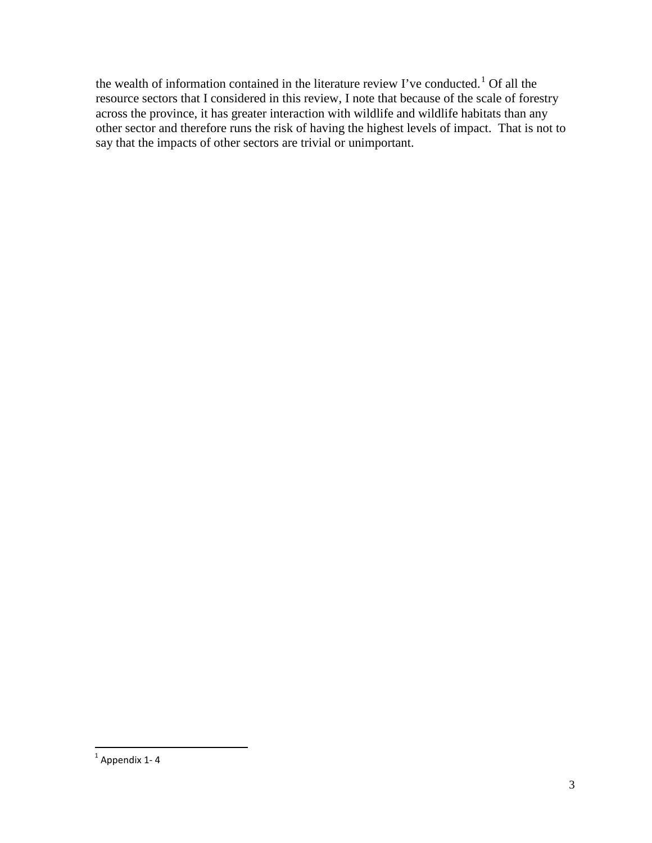the wealth of information contained in the literature review I've conducted.<sup>[1](#page-3-0)</sup> Of all the resource sectors that I considered in this review, I note that because of the scale of forestry across the province, it has greater interaction with wildlife and wildlife habitats than any other sector and therefore runs the risk of having the highest levels of impact. That is not to say that the impacts of other sectors are trivial or unimportant.

<span id="page-3-0"></span> $1$  Appendix 1-4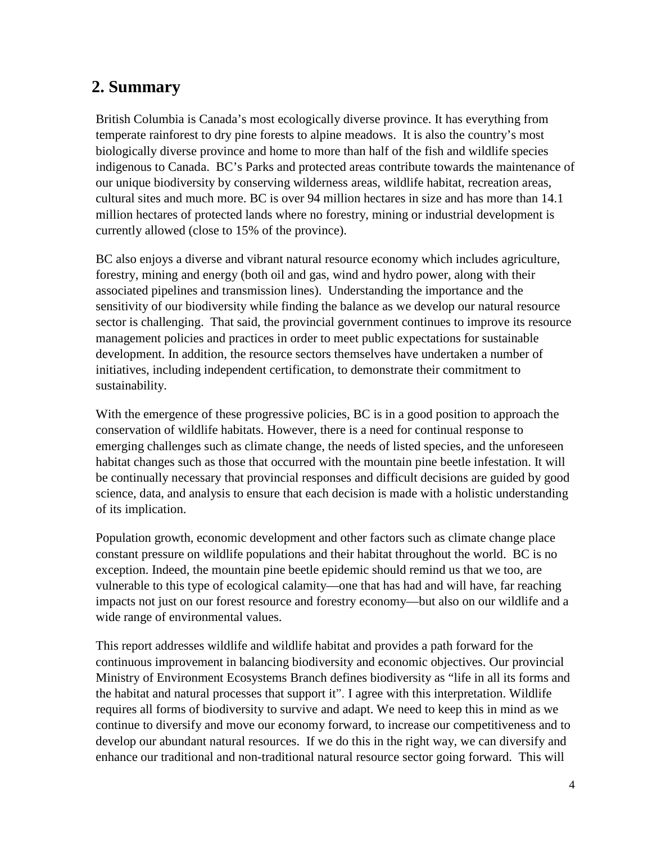## **2. Summary**

British Columbia is Canada's most ecologically diverse province. It has everything from temperate rainforest to dry pine forests to alpine meadows. It is also the country's most biologically diverse province and home to more than half of the fish and wildlife species indigenous to Canada. BC's Parks and protected areas contribute towards the maintenance of our unique biodiversity by conserving wilderness areas, wildlife habitat, recreation areas, cultural sites and much more. BC is over 94 million hectares in size and has more than 14.1 million hectares of protected lands where no forestry, mining or industrial development is currently allowed (close to 15% of the province).

BC also enjoys a diverse and vibrant natural resource economy which includes agriculture, forestry, mining and energy (both oil and gas, wind and hydro power, along with their associated pipelines and transmission lines). Understanding the importance and the sensitivity of our biodiversity while finding the balance as we develop our natural resource sector is challenging. That said, the provincial government continues to improve its resource management policies and practices in order to meet public expectations for sustainable development. In addition, the resource sectors themselves have undertaken a number of initiatives, including independent certification, to demonstrate their commitment to sustainability.

With the emergence of these progressive policies, BC is in a good position to approach the conservation of wildlife habitats. However, there is a need for continual response to emerging challenges such as climate change, the needs of listed species, and the unforeseen habitat changes such as those that occurred with the mountain pine beetle infestation. It will be continually necessary that provincial responses and difficult decisions are guided by good science, data, and analysis to ensure that each decision is made with a holistic understanding of its implication.

Population growth, economic development and other factors such as climate change place constant pressure on wildlife populations and their habitat throughout the world. BC is no exception. Indeed, the mountain pine beetle epidemic should remind us that we too, are vulnerable to this type of ecological calamity—one that has had and will have, far reaching impacts not just on our forest resource and forestry economy—but also on our wildlife and a wide range of environmental values.

This report addresses wildlife and wildlife habitat and provides a path forward for the continuous improvement in balancing biodiversity and economic objectives. Our provincial Ministry of Environment Ecosystems Branch defines biodiversity as "life in all its forms and the habitat and natural processes that support it". I agree with this interpretation. Wildlife requires all forms of biodiversity to survive and adapt. We need to keep this in mind as we continue to diversify and move our economy forward, to increase our competitiveness and to develop our abundant natural resources. If we do this in the right way, we can diversify and enhance our traditional and non-traditional natural resource sector going forward. This will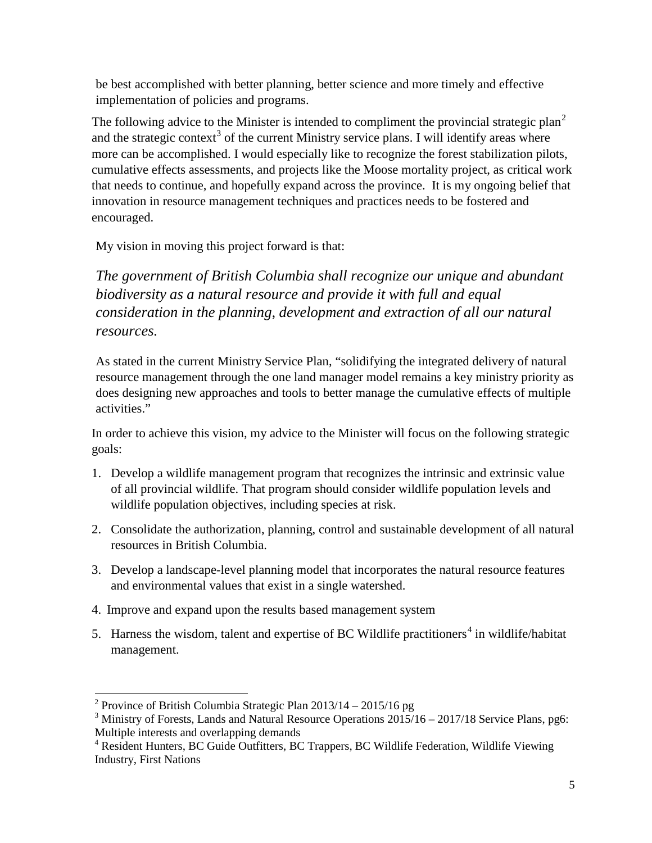be best accomplished with better planning, better science and more timely and effective implementation of policies and programs.

The following advice to the Minister is intended to compliment the provincial strategic plan<sup>[2](#page-5-0)</sup> and the strategic context<sup>[3](#page-5-1)</sup> of the current Ministry service plans. I will identify areas where more can be accomplished. I would especially like to recognize the forest stabilization pilots, cumulative effects assessments, and projects like the Moose mortality project, as critical work that needs to continue, and hopefully expand across the province. It is my ongoing belief that innovation in resource management techniques and practices needs to be fostered and encouraged.

My vision in moving this project forward is that:

*The government of British Columbia shall recognize our unique and abundant biodiversity as a natural resource and provide it with full and equal consideration in the planning, development and extraction of all our natural resources.*

As stated in the current Ministry Service Plan, "solidifying the integrated delivery of natural resource management through the one land manager model remains a key ministry priority as does designing new approaches and tools to better manage the cumulative effects of multiple activities."

In order to achieve this vision, my advice to the Minister will focus on the following strategic goals:

- 1. Develop a wildlife management program that recognizes the intrinsic and extrinsic value of all provincial wildlife. That program should consider wildlife population levels and wildlife population objectives, including species at risk.
- 2. Consolidate the authorization, planning, control and sustainable development of all natural resources in British Columbia.
- 3. Develop a landscape-level planning model that incorporates the natural resource features and environmental values that exist in a single watershed.
- 4. Improve and expand upon the results based management system
- 5. Harness the wisdom, talent and expertise of BC Wildlife practitioners<sup>[4](#page-5-2)</sup> in wildlife/habitat management.

 $\overline{a}$ 

<span id="page-5-0"></span><sup>&</sup>lt;sup>2</sup> Province of British Columbia Strategic Plan  $2013/14 - 2015/16$  pg

<span id="page-5-1"></span> $3$  Ministry of Forests, Lands and Natural Resource Operations  $2015/16 - 2017/18$  Service Plans, pg6: Multiple interests and overlapping demands

<span id="page-5-2"></span><sup>&</sup>lt;sup>4</sup> Resident Hunters, BC Guide Outfitters, BC Trappers, BC Wildlife Federation, Wildlife Viewing Industry, First Nations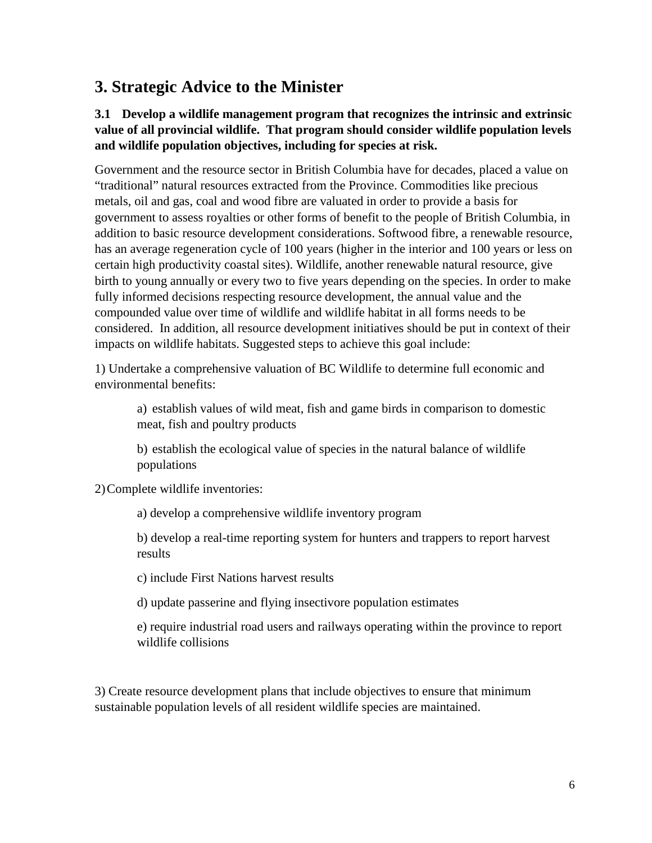## **3. Strategic Advice to the Minister**

#### **3.1 Develop a wildlife management program that recognizes the intrinsic and extrinsic value of all provincial wildlife. That program should consider wildlife population levels and wildlife population objectives, including for species at risk.**

Government and the resource sector in British Columbia have for decades, placed a value on "traditional" natural resources extracted from the Province. Commodities like precious metals, oil and gas, coal and wood fibre are valuated in order to provide a basis for government to assess royalties or other forms of benefit to the people of British Columbia, in addition to basic resource development considerations. Softwood fibre, a renewable resource, has an average regeneration cycle of 100 years (higher in the interior and 100 years or less on certain high productivity coastal sites). Wildlife, another renewable natural resource, give birth to young annually or every two to five years depending on the species. In order to make fully informed decisions respecting resource development, the annual value and the compounded value over time of wildlife and wildlife habitat in all forms needs to be considered. In addition, all resource development initiatives should be put in context of their impacts on wildlife habitats. Suggested steps to achieve this goal include:

1) Undertake a comprehensive valuation of BC Wildlife to determine full economic and environmental benefits:

a) establish values of wild meat, fish and game birds in comparison to domestic meat, fish and poultry products

b) establish the ecological value of species in the natural balance of wildlife populations

2)Complete wildlife inventories:

a) develop a comprehensive wildlife inventory program

b) develop a real-time reporting system for hunters and trappers to report harvest results

c) include First Nations harvest results

d) update passerine and flying insectivore population estimates

e) require industrial road users and railways operating within the province to report wildlife collisions

3) Create resource development plans that include objectives to ensure that minimum sustainable population levels of all resident wildlife species are maintained.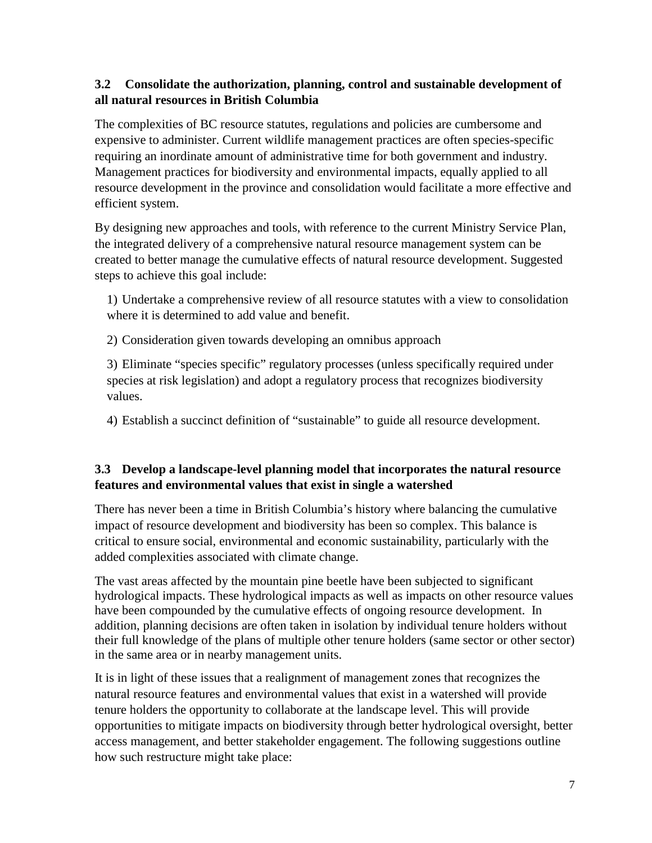#### **3.2 Consolidate the authorization, planning, control and sustainable development of all natural resources in British Columbia**

The complexities of BC resource statutes, regulations and policies are cumbersome and expensive to administer. Current wildlife management practices are often species-specific requiring an inordinate amount of administrative time for both government and industry. Management practices for biodiversity and environmental impacts, equally applied to all resource development in the province and consolidation would facilitate a more effective and efficient system.

By designing new approaches and tools, with reference to the current Ministry Service Plan, the integrated delivery of a comprehensive natural resource management system can be created to better manage the cumulative effects of natural resource development. Suggested steps to achieve this goal include:

1) Undertake a comprehensive review of all resource statutes with a view to consolidation where it is determined to add value and benefit.

2) Consideration given towards developing an omnibus approach

3) Eliminate "species specific" regulatory processes (unless specifically required under species at risk legislation) and adopt a regulatory process that recognizes biodiversity values.

4) Establish a succinct definition of "sustainable" to guide all resource development.

#### **3.3 Develop a landscape-level planning model that incorporates the natural resource features and environmental values that exist in single a watershed**

There has never been a time in British Columbia's history where balancing the cumulative impact of resource development and biodiversity has been so complex. This balance is critical to ensure social, environmental and economic sustainability, particularly with the added complexities associated with climate change.

The vast areas affected by the mountain pine beetle have been subjected to significant hydrological impacts. These hydrological impacts as well as impacts on other resource values have been compounded by the cumulative effects of ongoing resource development. In addition, planning decisions are often taken in isolation by individual tenure holders without their full knowledge of the plans of multiple other tenure holders (same sector or other sector) in the same area or in nearby management units.

It is in light of these issues that a realignment of management zones that recognizes the natural resource features and environmental values that exist in a watershed will provide tenure holders the opportunity to collaborate at the landscape level. This will provide opportunities to mitigate impacts on biodiversity through better hydrological oversight, better access management, and better stakeholder engagement. The following suggestions outline how such restructure might take place: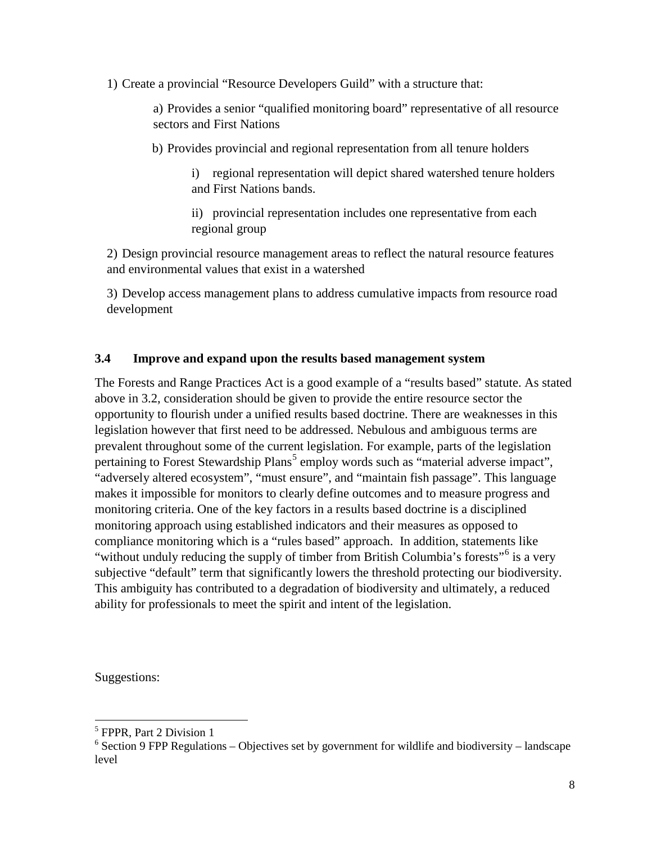1) Create a provincial "Resource Developers Guild" with a structure that:

a) Provides a senior "qualified monitoring board" representative of all resource sectors and First Nations

b) Provides provincial and regional representation from all tenure holders

i) regional representation will depict shared watershed tenure holders and First Nations bands.

ii) provincial representation includes one representative from each regional group

2) Design provincial resource management areas to reflect the natural resource features and environmental values that exist in a watershed

3) Develop access management plans to address cumulative impacts from resource road development

#### **3.4 Improve and expand upon the results based management system**

The Forests and Range Practices Act is a good example of a "results based" statute. As stated above in 3.2, consideration should be given to provide the entire resource sector the opportunity to flourish under a unified results based doctrine. There are weaknesses in this legislation however that first need to be addressed. Nebulous and ambiguous terms are prevalent throughout some of the current legislation. For example, parts of the legislation pertaining to Forest Stewardship Plans<sup>[5](#page-8-0)</sup> employ words such as "material adverse impact", "adversely altered ecosystem", "must ensure", and "maintain fish passage". This language makes it impossible for monitors to clearly define outcomes and to measure progress and monitoring criteria. One of the key factors in a results based doctrine is a disciplined monitoring approach using established indicators and their measures as opposed to compliance monitoring which is a "rules based" approach. In addition, statements like "without unduly reducing the supply of timber from British Columbia's forests"<sup>[6](#page-8-1)</sup> is a very subjective "default" term that significantly lowers the threshold protecting our biodiversity. This ambiguity has contributed to a degradation of biodiversity and ultimately, a reduced ability for professionals to meet the spirit and intent of the legislation.

Suggestions:

 $\overline{a}$ 

<span id="page-8-0"></span><sup>5</sup> FPPR, Part 2 Division 1

<span id="page-8-1"></span> $6$  Section 9 FPP Regulations – Objectives set by government for wildlife and biodiversity – landscape level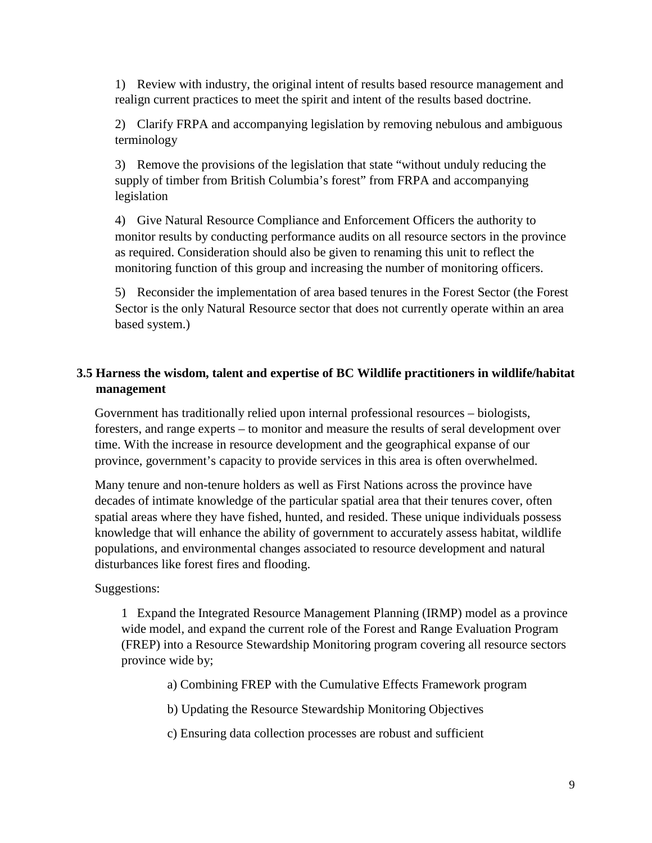1) Review with industry, the original intent of results based resource management and realign current practices to meet the spirit and intent of the results based doctrine.

2) Clarify FRPA and accompanying legislation by removing nebulous and ambiguous terminology

3) Remove the provisions of the legislation that state "without unduly reducing the supply of timber from British Columbia's forest" from FRPA and accompanying legislation

4) Give Natural Resource Compliance and Enforcement Officers the authority to monitor results by conducting performance audits on all resource sectors in the province as required. Consideration should also be given to renaming this unit to reflect the monitoring function of this group and increasing the number of monitoring officers.

5) Reconsider the implementation of area based tenures in the Forest Sector (the Forest Sector is the only Natural Resource sector that does not currently operate within an area based system.)

#### **3.5 Harness the wisdom, talent and expertise of BC Wildlife practitioners in wildlife/habitat management**

Government has traditionally relied upon internal professional resources – biologists, foresters, and range experts – to monitor and measure the results of seral development over time. With the increase in resource development and the geographical expanse of our province, government's capacity to provide services in this area is often overwhelmed.

Many tenure and non-tenure holders as well as First Nations across the province have decades of intimate knowledge of the particular spatial area that their tenures cover, often spatial areas where they have fished, hunted, and resided. These unique individuals possess knowledge that will enhance the ability of government to accurately assess habitat, wildlife populations, and environmental changes associated to resource development and natural disturbances like forest fires and flooding.

Suggestions:

1 Expand the Integrated Resource Management Planning (IRMP) model as a province wide model, and expand the current role of the Forest and Range Evaluation Program (FREP) into a Resource Stewardship Monitoring program covering all resource sectors province wide by;

a) Combining FREP with the Cumulative Effects Framework program

b) Updating the Resource Stewardship Monitoring Objectives

c) Ensuring data collection processes are robust and sufficient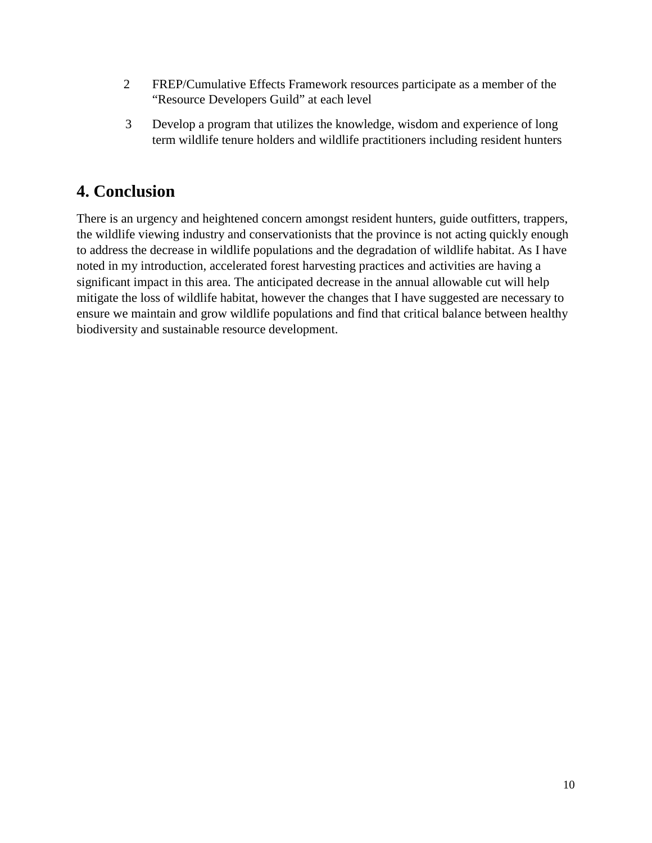- 2 FREP/Cumulative Effects Framework resources participate as a member of the "Resource Developers Guild" at each level
- 3 Develop a program that utilizes the knowledge, wisdom and experience of long term wildlife tenure holders and wildlife practitioners including resident hunters

## **4. Conclusion**

There is an urgency and heightened concern amongst resident hunters, guide outfitters, trappers, the wildlife viewing industry and conservationists that the province is not acting quickly enough to address the decrease in wildlife populations and the degradation of wildlife habitat. As I have noted in my introduction, accelerated forest harvesting practices and activities are having a significant impact in this area. The anticipated decrease in the annual allowable cut will help mitigate the loss of wildlife habitat, however the changes that I have suggested are necessary to ensure we maintain and grow wildlife populations and find that critical balance between healthy biodiversity and sustainable resource development.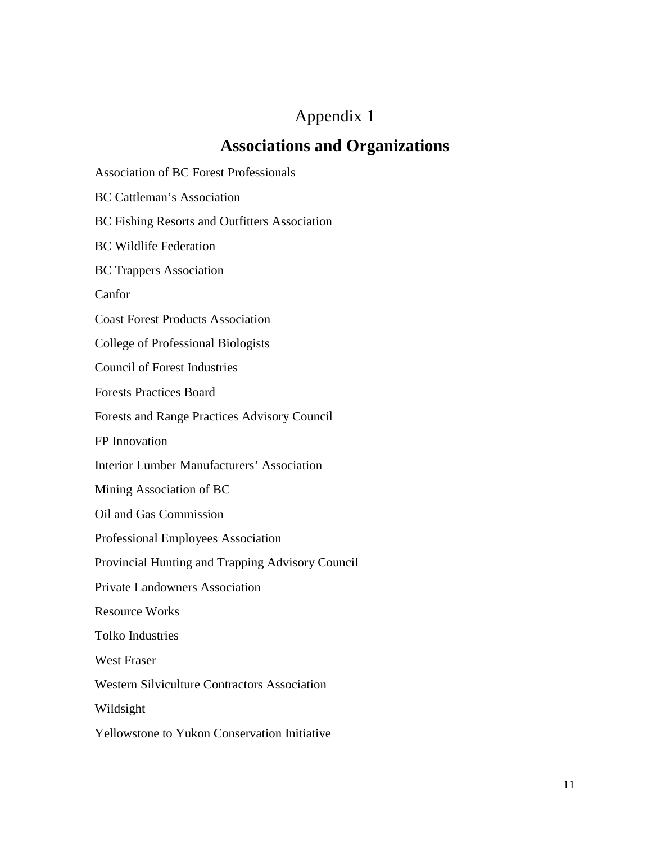## Appendix 1

## **Associations and Organizations**

Association of BC Forest Professionals

BC Cattleman's Association

BC Fishing Resorts and Outfitters Association

BC Wildlife Federation

BC Trappers Association

Canfor

Coast Forest Products Association

College of Professional Biologists

Council of Forest Industries

Forests Practices Board

Forests and Range Practices Advisory Council

FP Innovation

Interior Lumber Manufacturers' Association

Mining Association of BC

Oil and Gas Commission

Professional Employees Association

Provincial Hunting and Trapping Advisory Council

Private Landowners Association

Resource Works

Tolko Industries

West Fraser

Western Silviculture Contractors Association

Wildsight

Yellowstone to Yukon Conservation Initiative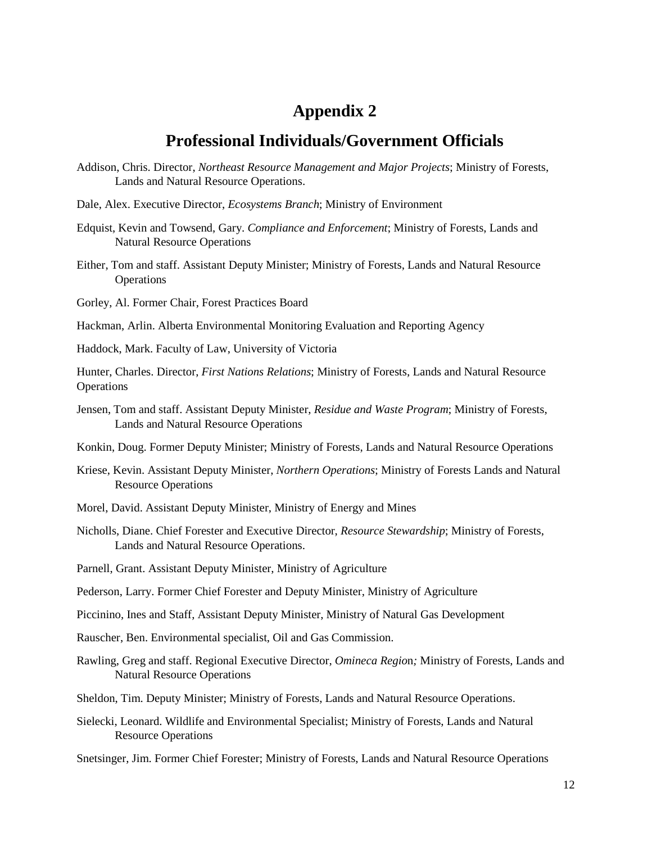## **Appendix 2**

## **Professional Individuals/Government Officials**

- Addison, Chris. Director, *Northeast Resource Management and Major Projects*; Ministry of Forests, Lands and Natural Resource Operations.
- Dale, Alex. Executive Director, *Ecosystems Branch*; Ministry of Environment
- Edquist, Kevin and Towsend, Gary. *Compliance and Enforcement*; Ministry of Forests, Lands and Natural Resource Operations
- Either, Tom and staff. Assistant Deputy Minister; Ministry of Forests, Lands and Natural Resource **Operations**

Gorley, Al. Former Chair, Forest Practices Board

Hackman, Arlin. Alberta Environmental Monitoring Evaluation and Reporting Agency

Haddock, Mark. Faculty of Law, University of Victoria

Hunter, Charles. Director, *First Nations Relations*; Ministry of Forests, Lands and Natural Resource **Operations** 

Jensen, Tom and staff. Assistant Deputy Minister, *Residue and Waste Program*; Ministry of Forests, Lands and Natural Resource Operations

Konkin, Doug. Former Deputy Minister; Ministry of Forests, Lands and Natural Resource Operations

- Kriese, Kevin. Assistant Deputy Minister, *Northern Operations*; Ministry of Forests Lands and Natural Resource Operations
- Morel, David. Assistant Deputy Minister, Ministry of Energy and Mines
- Nicholls, Diane. Chief Forester and Executive Director, *Resource Stewardship*; Ministry of Forests, Lands and Natural Resource Operations.
- Parnell, Grant. Assistant Deputy Minister, Ministry of Agriculture

Pederson, Larry. Former Chief Forester and Deputy Minister, Ministry of Agriculture

- Piccinino, Ines and Staff, Assistant Deputy Minister, Ministry of Natural Gas Development
- Rauscher, Ben. Environmental specialist, Oil and Gas Commission.
- Rawling, Greg and staff. Regional Executive Director, *Omineca Regio*n*;* Ministry of Forests, Lands and Natural Resource Operations
- Sheldon, Tim. Deputy Minister; Ministry of Forests, Lands and Natural Resource Operations.
- Sielecki, Leonard. Wildlife and Environmental Specialist; Ministry of Forests, Lands and Natural Resource Operations
- Snetsinger, Jim. Former Chief Forester; Ministry of Forests, Lands and Natural Resource Operations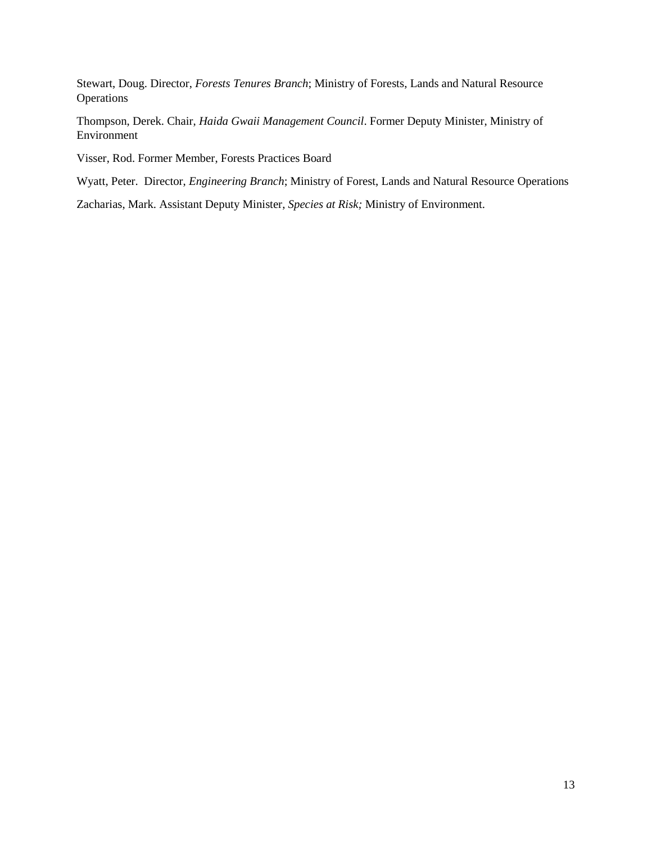Stewart, Doug. Director, *Forests Tenures Branch*; Ministry of Forests, Lands and Natural Resource Operations

Thompson, Derek. Chair, *Haida Gwaii Management Council*. Former Deputy Minister, Ministry of Environment

Visser, Rod. Former Member, Forests Practices Board

Wyatt, Peter. Director, *Engineering Branch*; Ministry of Forest, Lands and Natural Resource Operations

Zacharias, Mark. Assistant Deputy Minister, *Species at Risk;* Ministry of Environment.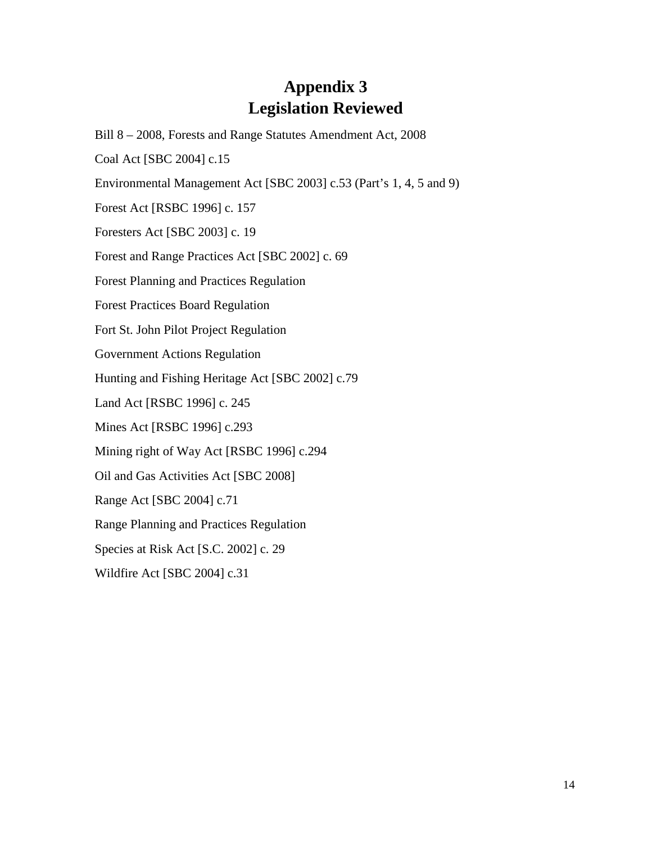## **Appendix 3 Legislation Reviewed**

Bill 8 – 2008, Forests and Range Statutes Amendment Act, 2008 Coal Act [SBC 2004] c.15 Environmental Management Act [SBC 2003] c.53 (Part's 1, 4, 5 and 9) Forest Act [RSBC 1996] c. 157 Foresters Act [SBC 2003] c. 19 Forest and Range Practices Act [SBC 2002] c. 69 Forest Planning and Practices Regulation Forest Practices Board Regulation Fort St. John Pilot Project Regulation Government Actions Regulation Hunting and Fishing Heritage Act [SBC 2002] c.79 Land Act [RSBC 1996] c. 245 Mines Act [RSBC 1996] c.293 Mining right of Way Act [RSBC 1996] c.294 Oil and Gas Activities Act [SBC 2008] Range Act [SBC 2004] c.71 Range Planning and Practices Regulation Species at Risk Act [S.C. 2002] c. 29 Wildfire Act [SBC 2004] c.31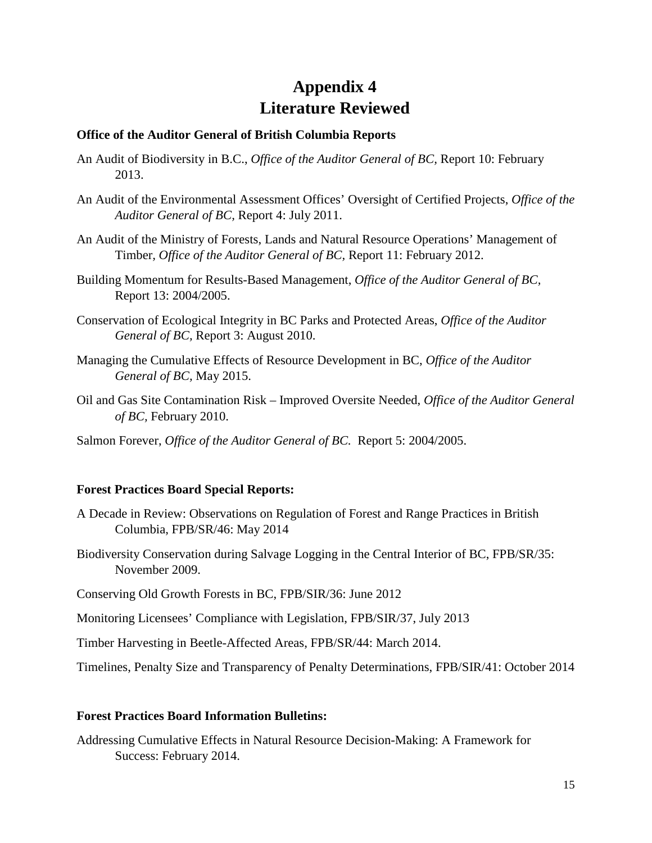## **Appendix 4 Literature Reviewed**

#### **Office of the Auditor General of British Columbia Reports**

- An Audit of Biodiversity in B.C., *Office of the Auditor General of BC,* Report 10: February 2013.
- An Audit of the Environmental Assessment Offices' Oversight of Certified Projects, *Office of the Auditor General of BC,* Report 4: July 2011.
- An Audit of the Ministry of Forests, Lands and Natural Resource Operations' Management of Timber*, Office of the Auditor General of BC,* Report 11: February 2012.
- Building Momentum for Results-Based Management, *Office of the Auditor General of BC,* Report 13: 2004/2005.
- Conservation of Ecological Integrity in BC Parks and Protected Areas, *Office of the Auditor General of BC,* Report 3: August 2010.
- Managing the Cumulative Effects of Resource Development in BC, *Office of the Auditor General of BC,* May 2015.
- Oil and Gas Site Contamination Risk Improved Oversite Needed, *Office of the Auditor General of BC,* February 2010.
- Salmon Forever, *Office of the Auditor General of BC.* Report 5: 2004/2005.

#### **Forest Practices Board Special Reports:**

- A Decade in Review: Observations on Regulation of Forest and Range Practices in British Columbia, FPB/SR/46: May 2014
- Biodiversity Conservation during Salvage Logging in the Central Interior of BC, FPB/SR/35: November 2009.
- Conserving Old Growth Forests in BC, FPB/SIR/36: June 2012

Monitoring Licensees' Compliance with Legislation, FPB/SIR/37, July 2013

Timber Harvesting in Beetle-Affected Areas, FPB/SR/44: March 2014.

Timelines, Penalty Size and Transparency of Penalty Determinations, FPB/SIR/41: October 2014

#### **Forest Practices Board Information Bulletins:**

Addressing Cumulative Effects in Natural Resource Decision-Making: A Framework for Success: February 2014.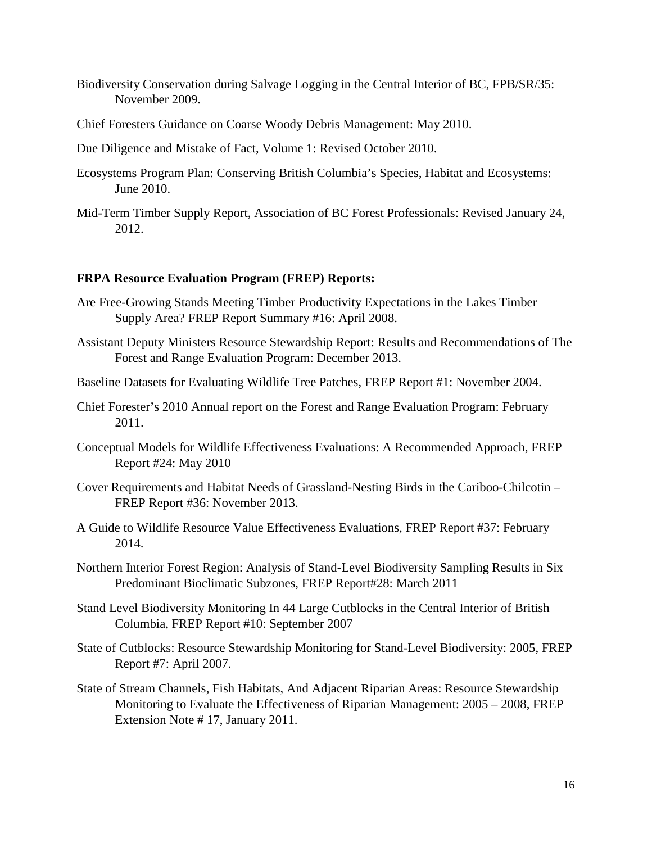- Biodiversity Conservation during Salvage Logging in the Central Interior of BC, FPB/SR/35: November 2009.
- Chief Foresters Guidance on Coarse Woody Debris Management: May 2010.
- Due Diligence and Mistake of Fact, Volume 1: Revised October 2010.
- Ecosystems Program Plan: Conserving British Columbia's Species, Habitat and Ecosystems: June 2010.
- Mid-Term Timber Supply Report, Association of BC Forest Professionals: Revised January 24, 2012.

#### **FRPA Resource Evaluation Program (FREP) Reports:**

- Are Free-Growing Stands Meeting Timber Productivity Expectations in the Lakes Timber Supply Area? FREP Report Summary #16: April 2008.
- Assistant Deputy Ministers Resource Stewardship Report: Results and Recommendations of The Forest and Range Evaluation Program: December 2013.
- Baseline Datasets for Evaluating Wildlife Tree Patches, FREP Report #1: November 2004.
- Chief Forester's 2010 Annual report on the Forest and Range Evaluation Program: February 2011.
- Conceptual Models for Wildlife Effectiveness Evaluations: A Recommended Approach, FREP Report #24: May 2010
- Cover Requirements and Habitat Needs of Grassland-Nesting Birds in the Cariboo-Chilcotin FREP Report #36: November 2013.
- A Guide to Wildlife Resource Value Effectiveness Evaluations, FREP Report #37: February 2014.
- Northern Interior Forest Region: Analysis of Stand-Level Biodiversity Sampling Results in Six Predominant Bioclimatic Subzones, FREP Report#28: March 2011
- Stand Level Biodiversity Monitoring In 44 Large Cutblocks in the Central Interior of British Columbia, FREP Report #10: September 2007
- State of Cutblocks: Resource Stewardship Monitoring for Stand-Level Biodiversity: 2005, FREP Report #7: April 2007.
- State of Stream Channels, Fish Habitats, And Adjacent Riparian Areas: Resource Stewardship Monitoring to Evaluate the Effectiveness of Riparian Management: 2005 – 2008, FREP Extension Note # 17, January 2011.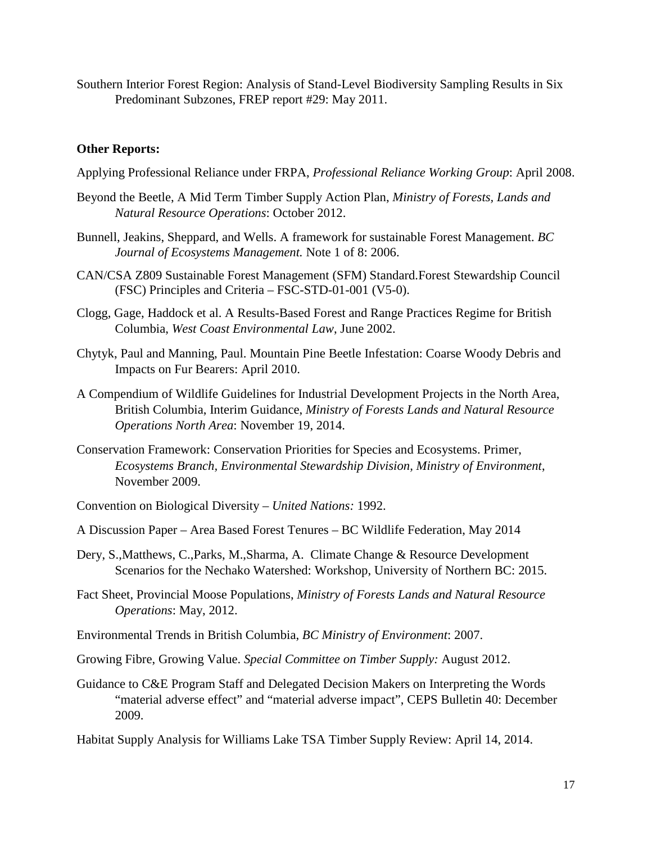Southern Interior Forest Region: Analysis of Stand-Level Biodiversity Sampling Results in Six Predominant Subzones, FREP report #29: May 2011.

#### **Other Reports:**

- Applying Professional Reliance under FRPA, *Professional Reliance Working Group*: April 2008.
- Beyond the Beetle, A Mid Term Timber Supply Action Plan, *Ministry of Forests, Lands and Natural Resource Operations*: October 2012.
- Bunnell, Jeakins, Sheppard, and Wells. A framework for sustainable Forest Management. *BC Journal of Ecosystems Management.* Note 1 of 8: 2006.
- [CAN/CSA Z809 Sustainable Forest Management \(SFM\) Standard.](http://shop.csa.ca/en/canada/sustainable-forest-management/cancsa-z809-08-r2013/invt/27017442008)Forest Stewardship Council (FSC) Principles and Criteria – FSC-STD-01-001 (V5-0).
- Clogg, Gage, Haddock et al. A Results-Based Forest and Range Practices Regime for British Columbia, *West Coast Environmental Law*, June 2002.
- Chytyk, Paul and Manning, Paul. Mountain Pine Beetle Infestation: Coarse Woody Debris and Impacts on Fur Bearers: April 2010.
- A Compendium of Wildlife Guidelines for Industrial Development Projects in the North Area, British Columbia, Interim Guidance, *Ministry of Forests Lands and Natural Resource Operations North Area*: November 19, 2014.
- Conservation Framework: Conservation Priorities for Species and Ecosystems. Primer, *Ecosystems Branch, Environmental Stewardship Division, Ministry of Environment*, November 2009.
- Convention on Biological Diversity *United Nations:* 1992.
- A Discussion Paper Area Based Forest Tenures BC Wildlife Federation, May 2014
- Dery, S.,Matthews, C.,Parks, M.,Sharma, A. Climate Change & Resource Development Scenarios for the Nechako Watershed: Workshop, University of Northern BC: 2015.
- Fact Sheet, Provincial Moose Populations, *Ministry of Forests Lands and Natural Resource Operations*: May, 2012.
- Environmental Trends in British Columbia, *BC Ministry of Environment*: 2007.
- Growing Fibre, Growing Value. *Special Committee on Timber Supply:* August 2012.
- Guidance to C&E Program Staff and Delegated Decision Makers on Interpreting the Words "material adverse effect" and "material adverse impact", CEPS Bulletin 40: December 2009.

Habitat Supply Analysis for Williams Lake TSA Timber Supply Review: April 14, 2014.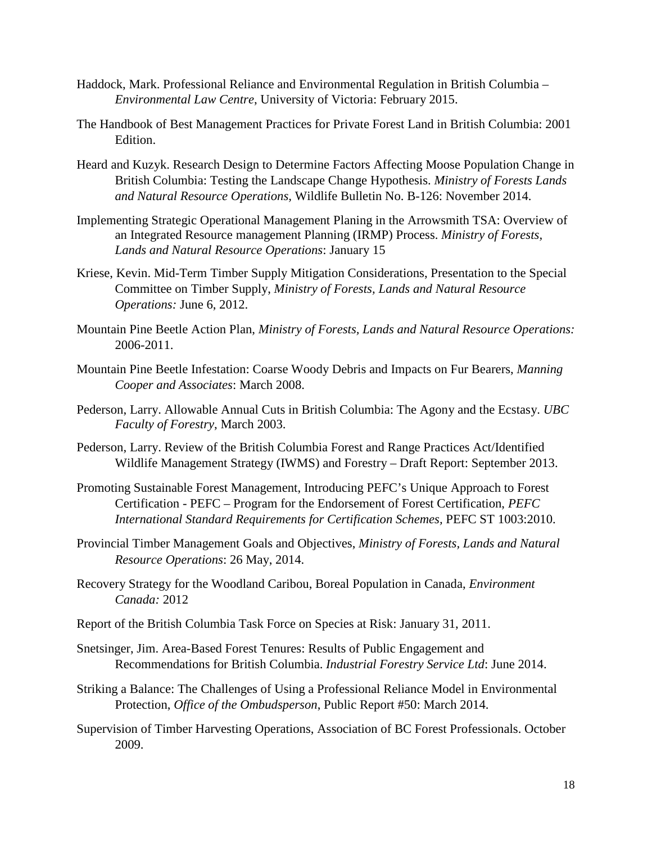- Haddock, Mark. Professional Reliance and Environmental Regulation in British Columbia *Environmental Law Centre*, University of Victoria: February 2015.
- The Handbook of Best Management Practices for Private Forest Land in British Columbia: 2001 Edition.
- Heard and Kuzyk. Research Design to Determine Factors Affecting Moose Population Change in British Columbia: Testing the Landscape Change Hypothesis. *Ministry of Forests Lands and Natural Resource Operations,* Wildlife Bulletin No. B-126: November 2014.
- Implementing Strategic Operational Management Planing in the Arrowsmith TSA: Overview of an Integrated Resource management Planning (IRMP) Process. *Ministry of Forests, Lands and Natural Resource Operations*: January 15
- Kriese, Kevin. Mid-Term Timber Supply Mitigation Considerations, Presentation to the Special Committee on Timber Supply, *Ministry of Forests, Lands and Natural Resource Operations:* June 6, 2012.
- Mountain Pine Beetle Action Plan, *Ministry of Forests, Lands and Natural Resource Operations:*  2006-2011.
- Mountain Pine Beetle Infestation: Coarse Woody Debris and Impacts on Fur Bearers, *Manning Cooper and Associates*: March 2008.
- Pederson, Larry. Allowable Annual Cuts in British Columbia: The Agony and the Ecstasy. *UBC Faculty of Forestry*, March 2003.
- Pederson, Larry. Review of the British Columbia Forest and Range Practices Act/Identified Wildlife Management Strategy (IWMS) and Forestry – Draft Report: September 2013.
- Promoting Sustainable Forest Management, Introducing PEFC's Unique Approach to Forest Certification - PEFC – Program for the Endorsement of Forest Certification, *PEFC International Standard Requirements for Certification Schemes,* PEFC ST 1003:2010.
- Provincial Timber Management Goals and Objectives, *Ministry of Forests, Lands and Natural Resource Operations*: 26 May, 2014.
- Recovery Strategy for the Woodland Caribou, Boreal Population in Canada, *Environment Canada:* 2012
- Report of the British Columbia Task Force on Species at Risk: January 31, 2011.
- Snetsinger, Jim. Area-Based Forest Tenures: Results of Public Engagement and Recommendations for British Columbia. *Industrial Forestry Service Ltd*: June 2014.
- Striking a Balance: The Challenges of Using a Professional Reliance Model in Environmental Protection, *Office of the Ombudsperson*, Public Report #50: March 2014.
- Supervision of Timber Harvesting Operations, Association of BC Forest Professionals. October 2009.